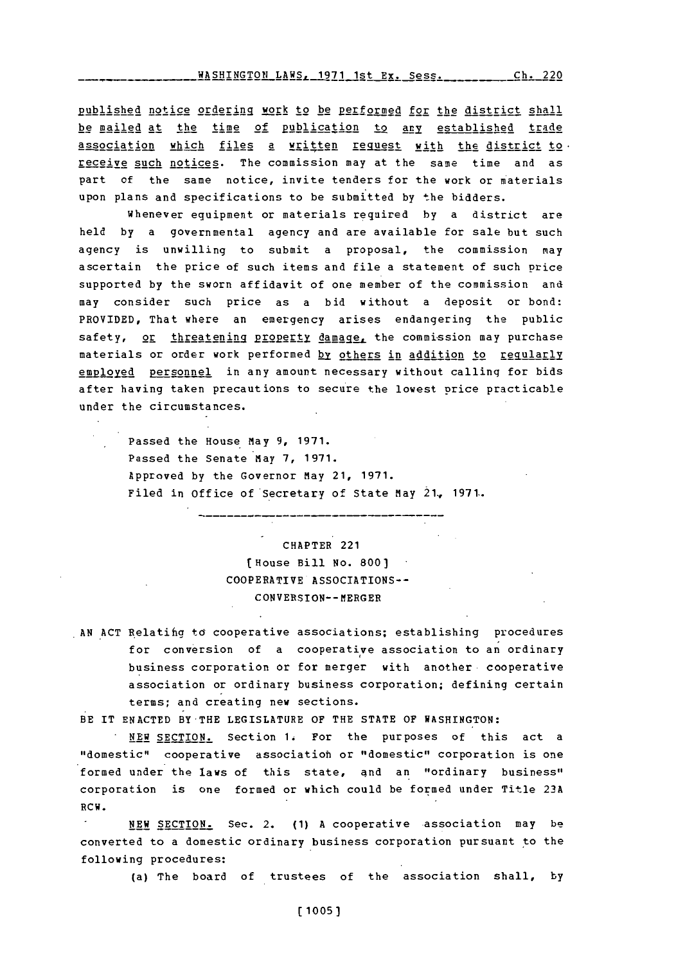WASHINGTON LAWS, **1971** 1st Ex. Sess. **Ch.** 220

published notice ordering work to be performed for the district shall be mailed at the time of publication to any established trade association which files a written request with the district to. receive such notices. The commission may at the same time and as part of the same notice, invite tenders for the work or materials upon plans and specifications to be submitted **by** the bidders.

whenever equipment or materials required **by** a district are held **by** a governmental agency and are available for sale but such agency is unwilling to submit a proposal, the commission may ascertain the price of such items and file a statement of such price supported by the sworn affidavit of one member of the commission and may consider such price as a bid without a deposit or bond: PROVIDED, That where an emergency arises endangering the public safety, or threatening property damage, the commission may purchase materials or order work performed **hy** others in addition to regularly employed personnel in any amount necessary without calling for bids after having taken precautions to secure the lowest price practicable under the circumstances.

Passed the House May **9, 1971.** Passed the Senate May **7, 1971.** Approved **by** the Governor May 21, **1971.** Filed in office of'Secretary of State May **21., 1971.**

> CHAPTER 221 (House Bill **No. 800)** COOPERATIVE ASSOCIATIONS~- CONVERSION-- MERGER

**AN ACT** Relatifig to cooperative associations; establishing procedures for conversion of a cooperative association to an ordinary business corporation or for merger with another cooperative association or ordinary business corporation; defining certain terms; and creating new sections.

B **E** IT **ENACTED** BY-THE LEGISLATURE OF THE **STATE** OF **WASHINGTON:**

**NEW** SECTION. Section 1. For the purposes of this act a "domestic" cooperative association or "domestic" corporation is one formed under the laws of this state, and an "ordinary business" corporation is one formed or which could be formed under Title **23A** RCW.

**NEW SECTION.** Sec. 2. **(1) A** cooperative association may be converted to a domestic ordinary business corporation pursuant to the following procedures:

(a) The board of trustees of the association shall, **by**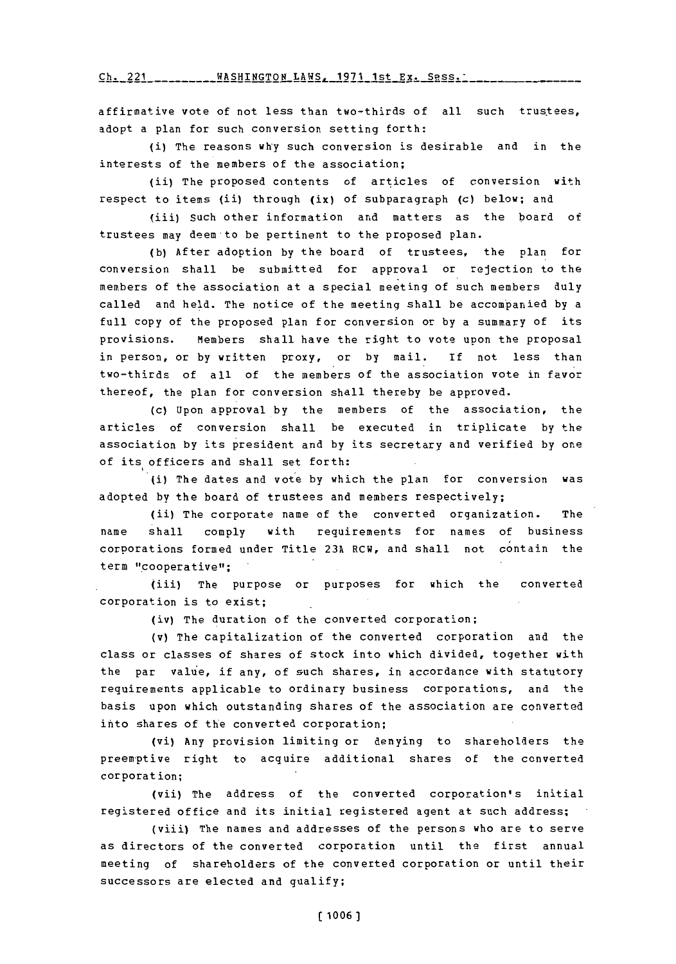**---h** 221- **- -- -- -** NG **-AH - A-** O **-s----es** <sup>S</sup>**1-7 Ch.** 221 WASHINGTON LAWS, **1971** 1st Ex. Sess.'

affirmative vote of not less than two-thirds of all such trustees, adopt a plan for such conversion setting forth:

(i) The reasons why such conversion is desirable and in the interests of the members of the association;

(ii) The proposed contents of articles of conversion with respect to items (ii) through (ix) of subparagraph (c) below; and

(iii) Such other information and matters as the board of trustees may deem to be pertinent to the proposed plan.

**(b)** After adoption **by** the board of trustees, the plan for conversion shall be submitted for approval or rejection to the members of the association at a special meeting of such members duly called and held. The notice of the meeting shall be accompanied **by** a full copy of the proposed plan for conversion or **by** a summary of its provisions. Members shall have the right to vote upon the proposal in person, or **by** written proxy, or **by** mail. If not less than two-thirds of all of the members of the association vote in *favor* thereof, the plan for conversion shall thereby be approved.

(c) Upon approval **by** the members of the association, the articles of conversion shall be executed in triplicate **by** the association **by** its president and **by** its secretary and verified **by** one of its officers and shall set forth:

(i) The dates and vote **by** which the plan for conversion was adopted **by** the board of trustees and members respectively;

(ii) The corporate name of the converted organization. The name shall **comply** with requirements for names of business corporations formed under Title **23A** RCW, and shall not contain the term "cooperative";

(iii) The purpose or purposes for which the converted corporation is to exist;

(iv) The duration of the converted corporation;

(v) The capitalization of the converted corporation and the class or classes of shares of stock into which divided, together with the par value, if any, of such shares, in accordance with statutory requirements applicable to ordinary business corporations, and the basis upon which outstanding shares of the association are converted into shares of the converted corporation;

(vi) Any provision limiting or denying to shareholders the preem-ptive right to acquire additional shares of the converted corporation;

(vii) The address of the converted corporation's initial registered office and its initial registered agent at such address;

(viii) The names and addresses of the persons who are to serve as directors of the converted corporation until the first annual meeting of shareholders of the converted corporation or until their successors are elected and qualify;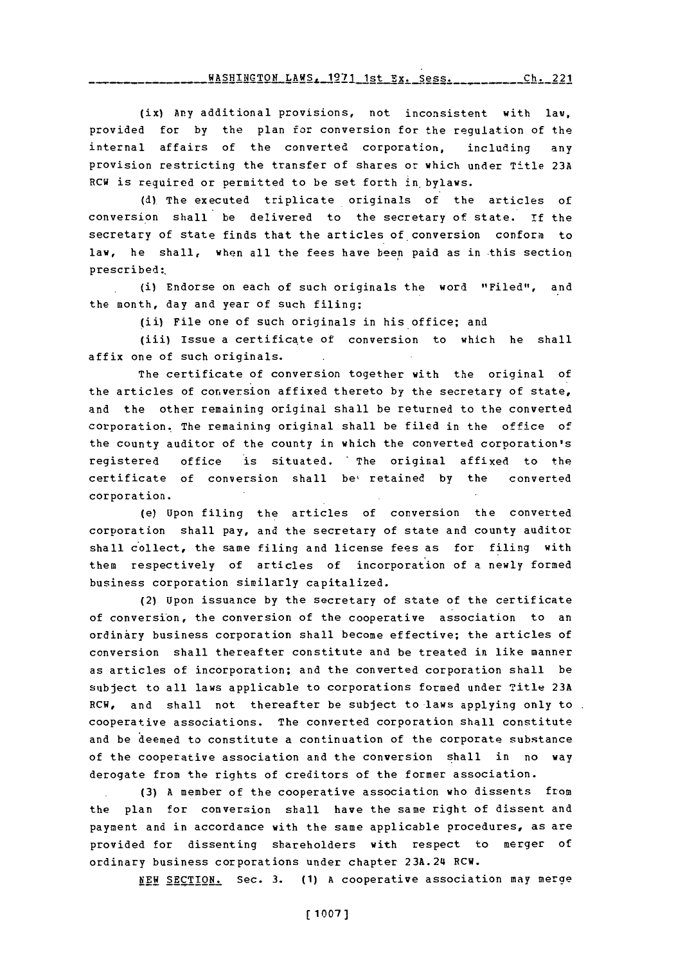WASHINGTON LAWS, **1971** 1st Ex. Sess. h21 **Ch.** 221

(ix) **Any** additional provisions, not inconsistent with law. provided for **by** the plan for conversion for the regulation of the internal affairs of the converted corporation, including any provision restricting the transfer of shares or which under Title **23A** RCW is required or permitted to be set forth in bylaws.

**(d)** The executed triplicate originals of the articles of conversion shall" be delivered to the secretary of state. **if** the secretary of state finds that the articles of conversion conform to law, he shall, when all the fees have been paid as in this section prescribed:.

(i) Endorse on each of such originals the word "Filed", and the month, day and year of such filing;

(ii) File one of such originals in his office; and

(iii) Issue a certificate of conversion to which he shall affix one of such originals.

The certificate of conversion together with the original of the articles of conversion affixed thereto **by** the secretary of state, and the other remaining original shall be returned to the converted corporation. The remaining original shall be filed in the office of the county auditor of the county in which the converted corporation's registered office is situated. The original affixed to the certificate of conversion shall be, retained **by** the converted corporation.

(e) Upon filing the articles of conversion the converted corporation shall pay, and the secretary of state and county auditor shall collect, the same filing and license fees as for filing with them respectively of articles of incorporation of a newly formed business corporation similarly capitalized.

(2) Upon issuance **by** the secretary of state of the certificate of conversion, the conversion of the cooperative association to an ordinary business corporation shall become effective; the articles of conversion shall thereafter constitute and be treated in like manner as articles of incorporation; and the converted corporation shall be subject to all laws applicable to corporations formed under Title **23A** RCW, and shall not thereafter be subject to laws applying only to. cooperative associations. The converted corporation shall constitute and be deemed to constitute a continuation of the corporate substance of the cooperative association and the conversion shall in no way derogate from the rights of creditors of the former association.

**(3) A** member of the cooperative association who dissents from the plan for conversion shall have the same right of dissent and payment and in accordance with the same applicable procedures, as are provided for dissenting shareholders with respect to merger **of** ordinary business corporations under chapter 23A.24 RCW.

**NEW** SECTION. Sec. **3. (1) A** cooperative association may merge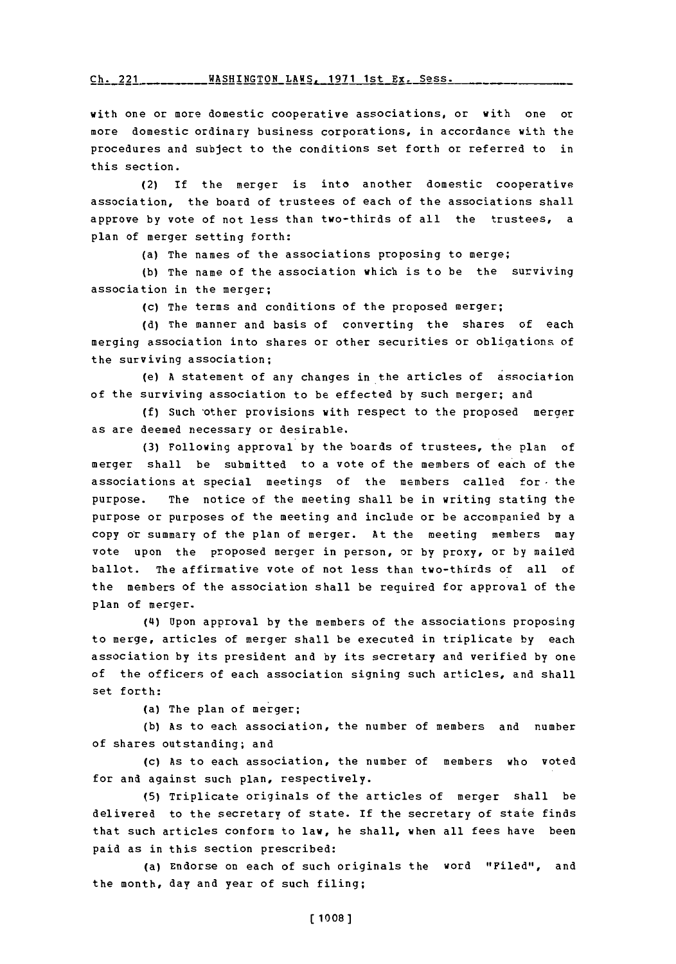$Ch. 221$  \_\_\_\_\_\_\_\_\_ WASHINGTON LAWS, 1971 1st Ex. Sess.

with one or more domestic cooperative associations, or with one or more domestic ordinary business corporations, in accordance with the procedures and subject to the conditions set forth or referred to in this section.

(2) If the merger is into another domestic cooperative association, the board of trustees of each of the associations shall approve **by** vote of not less than two-thirds of all the trustees, a plan of merger setting forth:

(a) The names of the associations proposing to merge;

**(b)** The name of the association which is to be the surviving association in the merger;

(c) The terms and conditions of the proposed merger;

**(d)** The manner and basis of converting the shares of each merging association into shares or other securities or obligations of the surviving association;

(e) **A** statement of any changes in the articles of association of the surviving association to be effected **by** such merger; and

**(f)** Such 'other provisions with respect to the proposed merger as are deemed necessary or desirable.

**(3)** Following approval **by** the boards of trustees, the plan of merger shall be submitted to a vote of the members of each of the associations at special meetings of the members called for- the purpose. The notice of the meeting shall be in writing stating the purpose or purposes of the meeting and include or be accompanied **by** a copy or summary of the plan of merger. At the meeting members may vote upon the proposed merger in person, or **by** proxy, or **by** mailed ballot. The affirmative vote of not less than two-thirds of all of the members of the association shall be required for approval of the plan of merger.

(4) Upon approval **by** the members of the associations proposing to merge, articles of merger shall be executed in triplicate **by** each association **by** its president and **by** its secretary and verified **by** one of the officers of each association signing such articles, and shall set forth:

(a) The plan of merger;

**(b)** As to each association, the number of members and number of shares outstanding; and

**(c)** As to each association, the number of members who voted for and against such plan, respectively.

**(5)** Triplicate originals of the articles of merger shall be delivered to the secretary of state. If the secretary of state finds that such articles conform to law, he shall, when all fees have been paid as in this section prescribed:

(a) Endorse on each of such originals the word "Filed", and the month, day and year of such filing;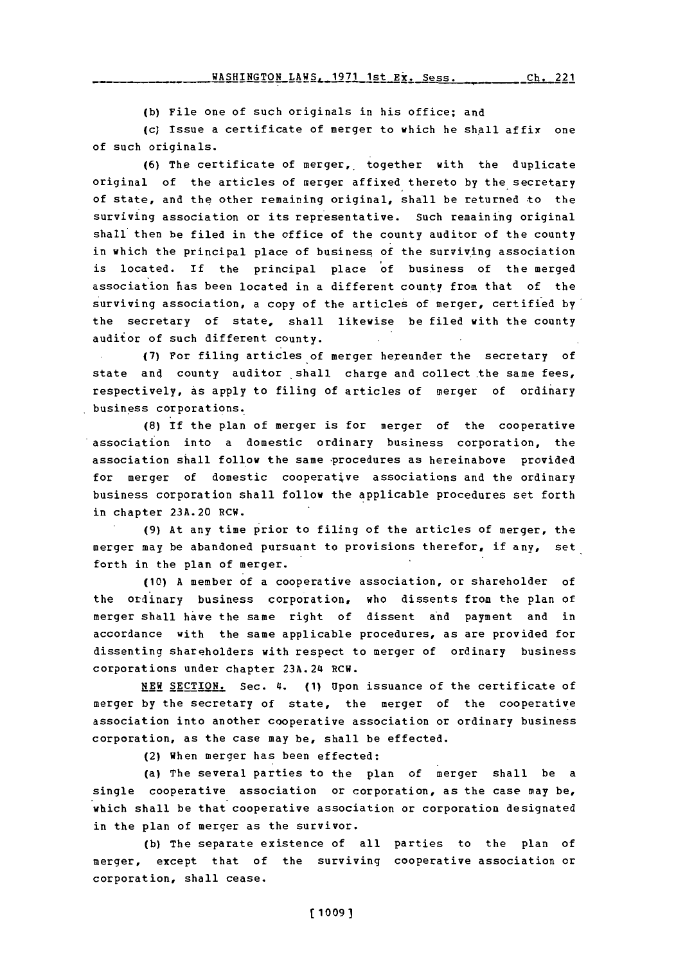WASHINGTON LAWS, 1971 1st Ex. Sess. Ch. 221

**(b)** File one of such originals in his office; and

(c) Issue a certificate of merger to which he shall affix one of such originals.

**(6)** The certificate of merger,, together with the duplicate original of the articles of merger affixed thereto **by** the secretary of state, and the other remaining original, shall be returned to the surviving association or its representative. Such remaining original shall then be filed in the office of the county auditor of the county in which the principal place of business of the surviving association is located. If the principal place of business of the merged association has been located in a different county from that of the s urviving association, a copy of the articles of merger, certified **by** the secretary of state, shall likewise be filed with the county auditor of such different county.

**(7)** For filing articles of merger hereunder the secretary of state and county auditor shall charge and collect the same fees, respectively, as apply to filing of articles of merger of ordinary business corporations.

**(8)** If the plan of merger is for merger of the cooperative association into a domestic ordinary business corporation, the association shall follow the same procedures as hereinabove provided for merger of domestic cooperative associations and the ordinary business corporation shall follow the applicable procedures set forth in chapter **23A.20** RCW.

**(9)** At any time prior to filing of the articles of merger, the merger may be abandoned pursuant to provisions therefor, if any, set forth in the plan of merger.

**(10) A** member of a cooperative association, or shareholder of the ordinary business corporation, who dissents from the plan of merger shall have the same right of dissent and payment and in accordance with the same applicable procedures, as are provided for dissenting shareholders with respect to merger of ordinary business corporations under chapter 23A.24 RCW.

**NEW SECTION.** Sec. £4. **(1)** Upon issuance of the certificate of merger **by** the secretary of state, the merger of the cooperative association into another cooperative association or ordinary business corporation, as the case may be, shall be effected.

(2) When merger has been effected:

(a) The several parties to the plan of merger shall be a single cooperative association or corporation, as the case may be, which shall be that cooperative association or corporation designated in the plan of merger as the survivor.

**(b)** The separate existence of all parties to the plan of merger, except that of the surviving cooperative association or corporation, shall cease.